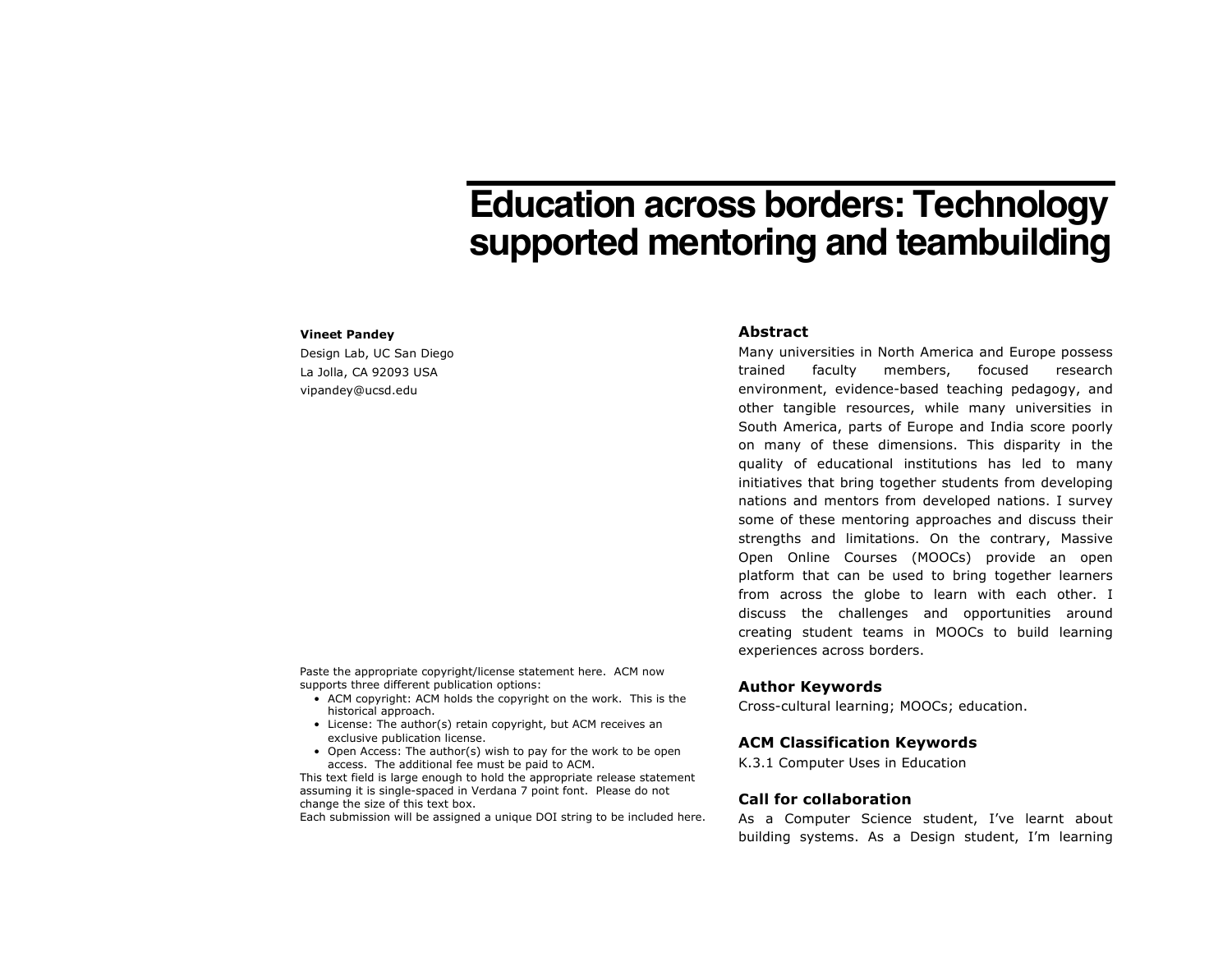# **Education across borders: Technology supported mentoring and teambuilding**

#### **Vineet Pandey**

Design Lab, UC San Diego La Jolla, CA 92093 USA vipandey@ucsd.edu

Paste the appropriate copyright/license statement here. ACM now supports three different publication options:

- ACM copyright: ACM holds the copyright on the work. This is the historical approach.
- License: The author(s) retain copyright, but ACM receives an exclusive publication license.
- Open Access: The author(s) wish to pay for the work to be open access. The additional fee must be paid to ACM.

This text field is large enough to hold the appropriate release statement assuming it is single-spaced in Verdana 7 point font. Please do not change the size of this text box.

Each submission will be assigned a unique DOI string to be included here.

#### **Abstract**

Many universities in North America and Europe possess trained faculty members, focused research environment, evidence-based teaching pedagogy, and other tangible resources, while many universities in South America, parts of Europe and India score poorly on many of these dimensions. This disparity in the quality of educational institutions has led to many initiatives that bring together students from developing nations and mentors from developed nations. I survey some of these mentoring approaches and discuss their strengths and limitations. On the contrary, Massive Open Online Courses (MOOCs) provide an open platform that can be used to bring together learners from across the globe to learn with each other. I discuss the challenges and opportunities around creating student teams in MOOCs to build learning experiences across borders.

#### **Author Keywords**

Cross-cultural learning; MOOCs; education.

## **ACM Classification Keywords**

K.3.1 Computer Uses in Education

## **Call for collaboration**

As a Computer Science student, I've learnt about building systems. As a Design student, I'm learning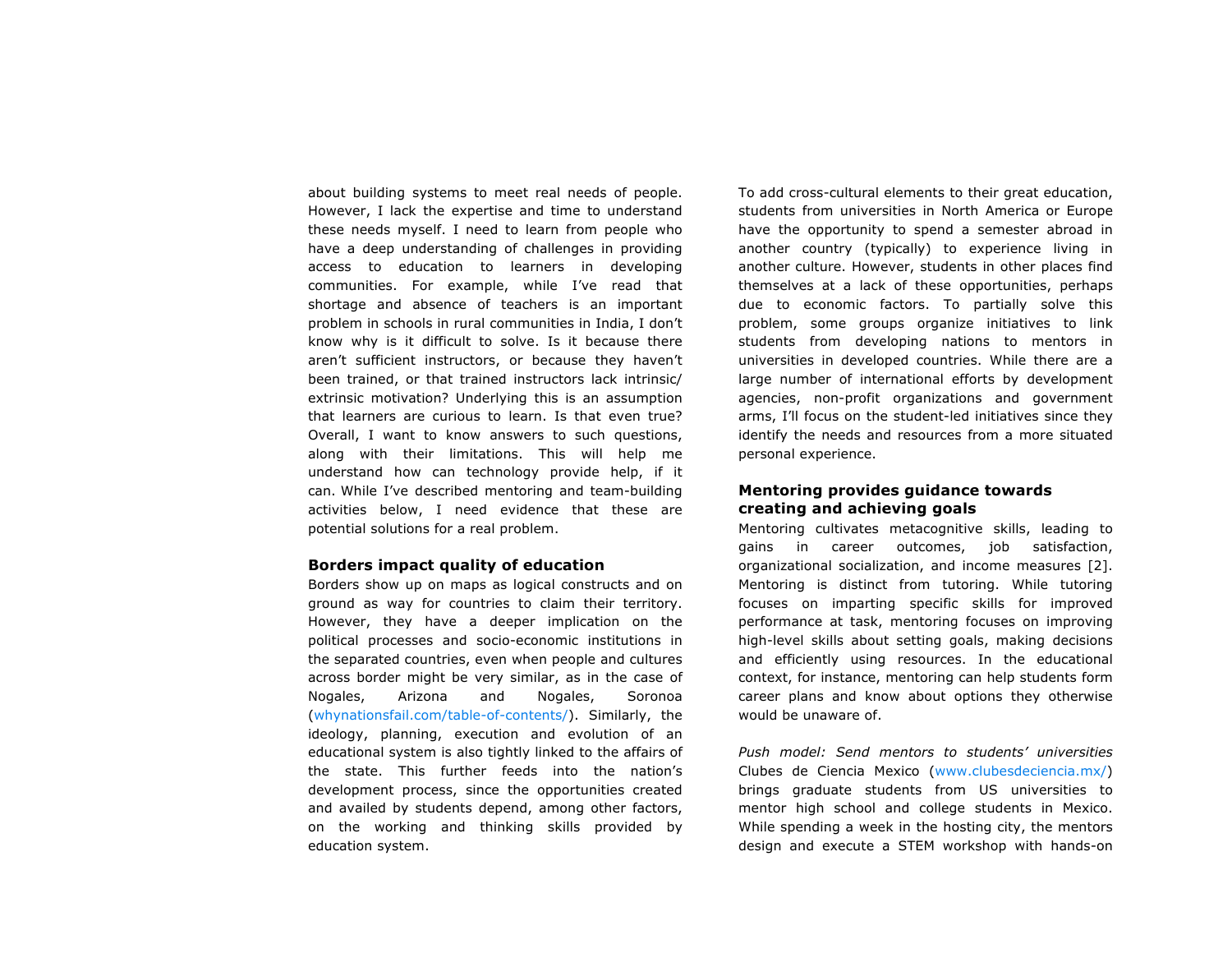about building systems to meet real needs of people. However, I lack the expertise and time to understand these needs myself. I need to learn from people who have a deep understanding of challenges in providing access to education to learners in developing communities. For example, while I've read that shortage and absence of teachers is an important problem in schools in rural communities in India, I don't know why is it difficult to solve. Is it because there aren't sufficient instructors, or because they haven't been trained, or that trained instructors lack intrinsic/ extrinsic motivation? Underlying this is an assumption that learners are curious to learn. Is that even true? Overall, I want to know answers to such questions, along with their limitations. This will help me understand how can technology provide help, if it can. While I've described mentoring and team-building activities below, I need evidence that these are potential solutions for a real problem.

#### **Borders impact quality of education**

Borders show up on maps as logical constructs and on ground as way for countries to claim their territory. However, they have a deeper implication on the political processes and socio-economic institutions in the separated countries, even when people and cultures across border might be very similar, as in the case of Nogales, Arizona and Nogales, Soronoa (whynationsfail.com/table-of-contents/). Similarly, the ideology, planning, execution and evolution of an educational system is also tightly linked to the affairs of the state. This further feeds into the nation's development process, since the opportunities created and availed by students depend, among other factors, on the working and thinking skills provided by education system.

To add cross-cultural elements to their great education, students from universities in North America or Europe have the opportunity to spend a semester abroad in another country (typically) to experience living in another culture. However, students in other places find themselves at a lack of these opportunities, perhaps due to economic factors. To partially solve this problem, some groups organize initiatives to link students from developing nations to mentors in universities in developed countries. While there are a large number of international efforts by development agencies, non-profit organizations and government arms, I'll focus on the student-led initiatives since they identify the needs and resources from a more situated personal experience.

## **Mentoring provides guidance towards creating and achieving goals**

Mentoring cultivates metacognitive skills, leading to gains in career outcomes, job satisfaction, organizational socialization, and income measures [2]. Mentoring is distinct from tutoring. While tutoring focuses on imparting specific skills for improved performance at task, mentoring focuses on improving high-level skills about setting goals, making decisions and efficiently using resources. In the educational context, for instance, mentoring can help students form career plans and know about options they otherwise would be unaware of.

*Push model: Send mentors to students' universities* Clubes de Ciencia Mexico (www.clubesdeciencia.mx/) brings graduate students from US universities to mentor high school and college students in Mexico. While spending a week in the hosting city, the mentors design and execute a STEM workshop with hands-on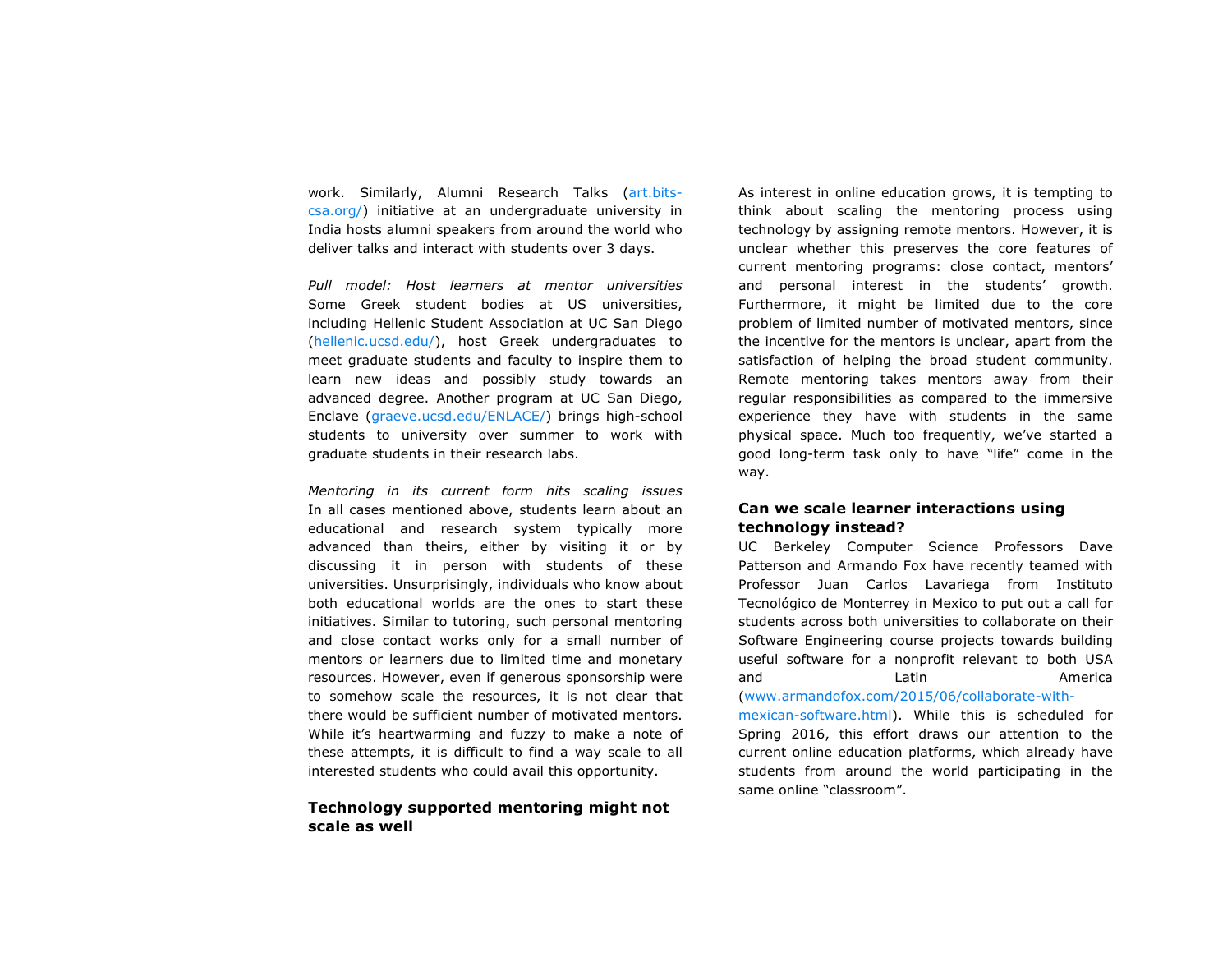work. Similarly, Alumni Research Talks (art.bitscsa.org/) initiative at an undergraduate university in India hosts alumni speakers from around the world who deliver talks and interact with students over 3 days.

*Pull model: Host learners at mentor universities* Some Greek student bodies at US universities, including Hellenic Student Association at UC San Diego (hellenic.ucsd.edu/), host Greek undergraduates to meet graduate students and faculty to inspire them to learn new ideas and possibly study towards an advanced degree. Another program at UC San Diego, Enclave (graeve.ucsd.edu/ENLACE/) brings high-school students to university over summer to work with graduate students in their research labs.

*Mentoring in its current form hits scaling issues* In all cases mentioned above, students learn about an educational and research system typically more advanced than theirs, either by visiting it or by discussing it in person with students of these universities. Unsurprisingly, individuals who know about both educational worlds are the ones to start these initiatives. Similar to tutoring, such personal mentoring and close contact works only for a small number of mentors or learners due to limited time and monetary resources. However, even if generous sponsorship were to somehow scale the resources, it is not clear that there would be sufficient number of motivated mentors. While it's heartwarming and fuzzy to make a note of these attempts, it is difficult to find a way scale to all interested students who could avail this opportunity.

## **Technology supported mentoring might not scale as well**

As interest in online education grows, it is tempting to think about scaling the mentoring process using technology by assigning remote mentors. However, it is unclear whether this preserves the core features of current mentoring programs: close contact, mentors' and personal interest in the students' growth. Furthermore, it might be limited due to the core problem of limited number of motivated mentors, since the incentive for the mentors is unclear, apart from the satisfaction of helping the broad student community. Remote mentoring takes mentors away from their regular responsibilities as compared to the immersive experience they have with students in the same physical space. Much too frequently, we've started a good long-term task only to have "life" come in the way.

## **Can we scale learner interactions using technology instead?**

UC Berkeley Computer Science Professors Dave Patterson and Armando Fox have recently teamed with Professor Juan Carlos Lavariega from Instituto Tecnológico de Monterrey in Mexico to put out a call for students across both universities to collaborate on their Software Engineering course projects towards building useful software for a nonprofit relevant to both USA and Latin Latin America (www.armandofox.com/2015/06/collaborate-with-

mexican-software.html). While this is scheduled for Spring 2016, this effort draws our attention to the current online education platforms, which already have students from around the world participating in the same online "classroom".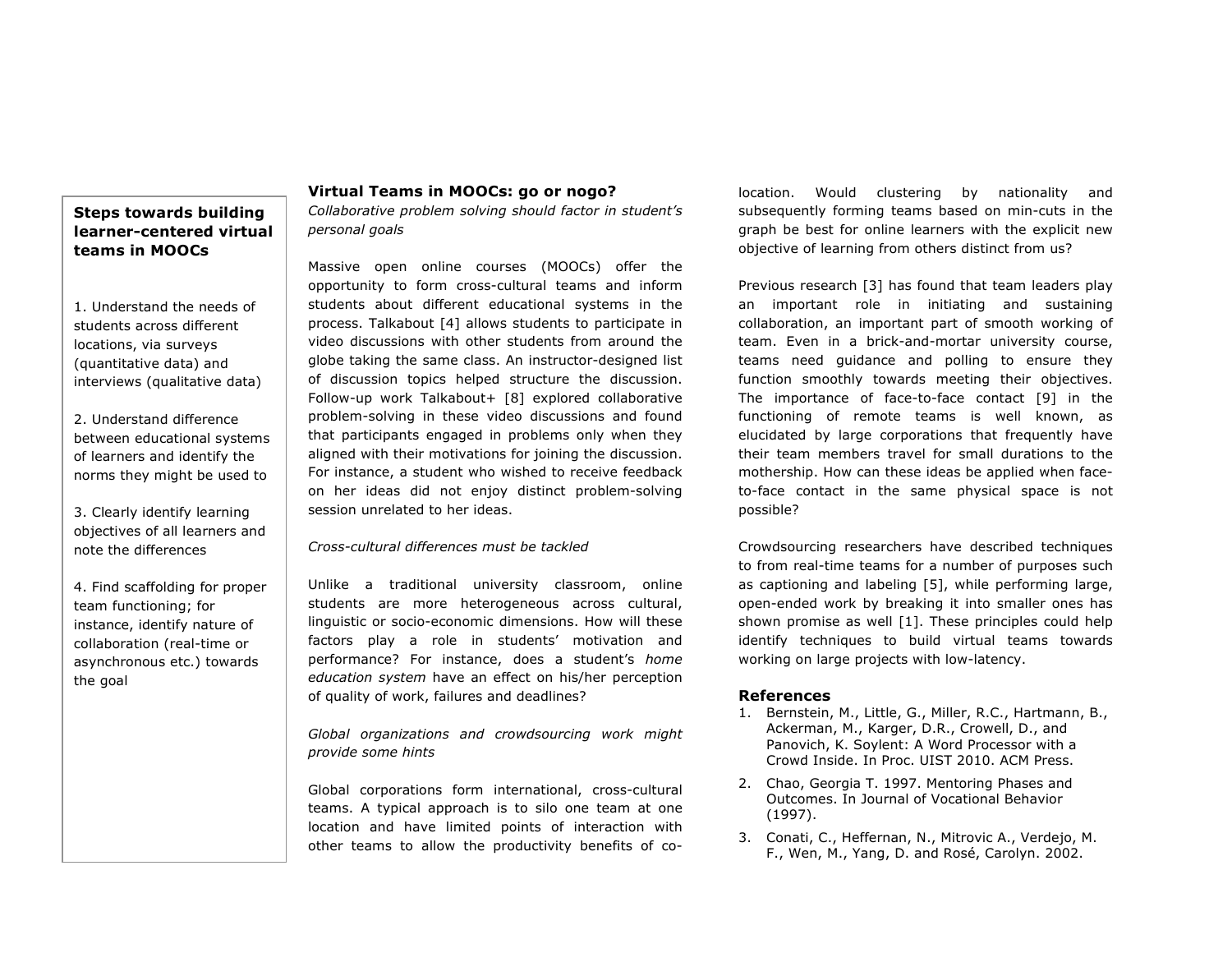## **Steps towards building learner-centered virtual teams in MOOCs**

1. Understand the needs of students across different locations, via surveys (quantitative data) and interviews (qualitative data)

2. Understand difference between educational systems of learners and identify the norms they might be used to

3. Clearly identify learning objectives of all learners and note the differences

4. Find scaffolding for proper team functioning; for instance, identify nature of collaboration (real-time or asynchronous etc.) towards the goal

## **Virtual Teams in MOOCs: go or nogo?**

*Collaborative problem solving should factor in student's personal goals*

Massive open online courses (MOOCs) offer the opportunity to form cross-cultural teams and inform students about different educational systems in the process. Talkabout [4] allows students to participate in video discussions with other students from around the globe taking the same class. An instructor-designed list of discussion topics helped structure the discussion. Follow-up work Talkabout+ [8] explored collaborative problem-solving in these video discussions and found that participants engaged in problems only when they aligned with their motivations for joining the discussion. For instance, a student who wished to receive feedback on her ideas did not enjoy distinct problem-solving session unrelated to her ideas.

#### *Cross-cultural differences must be tackled*

Unlike a traditional university classroom, online students are more heterogeneous across cultural, linguistic or socio-economic dimensions. How will these factors play a role in students' motivation and performance? For instance, does a student's *home education system* have an effect on his/her perception of quality of work, failures and deadlines?

*Global organizations and crowdsourcing work might provide some hints*

Global corporations form international, cross-cultural teams. A typical approach is to silo one team at one location and have limited points of interaction with other teams to allow the productivity benefits of colocation. Would clustering by nationality and subsequently forming teams based on min-cuts in the graph be best for online learners with the explicit new objective of learning from others distinct from us?

Previous research [3] has found that team leaders play an important role in initiating and sustaining collaboration, an important part of smooth working of team. Even in a brick-and-mortar university course, teams need guidance and polling to ensure they function smoothly towards meeting their objectives. The importance of face-to-face contact [9] in the functioning of remote teams is well known, as elucidated by large corporations that frequently have their team members travel for small durations to the mothership. How can these ideas be applied when faceto-face contact in the same physical space is not possible?

Crowdsourcing researchers have described techniques to from real-time teams for a number of purposes such as captioning and labeling [5], while performing large, open-ended work by breaking it into smaller ones has shown promise as well [1]. These principles could help identify techniques to build virtual teams towards working on large projects with low-latency.

## **References**

- 1. Bernstein, M., Little, G., Miller, R.C., Hartmann, B., Ackerman, M., Karger, D.R., Crowell, D., and Panovich, K. Soylent: A Word Processor with a Crowd Inside. In Proc. UIST 2010. ACM Press.
- 2. Chao, Georgia T. 1997. Mentoring Phases and Outcomes. In Journal of Vocational Behavior (1997).
- 3. Conati, C., Heffernan, N., Mitrovic A., Verdejo, M. F., Wen, M., Yang, D. and Rosé, Carolyn. 2002.